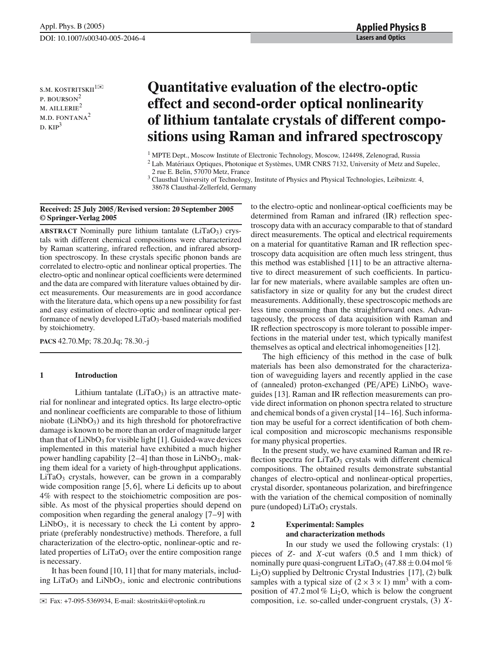s.m. kostritskii $^{1\boxtimes}$ p. bourson<sup>2</sup>  $M.$  AILLERIE<sup>2</sup> M.D. FONTANA $^2$  $D. KIP<sup>3</sup>$ 

# **Quantitative evaluation of the electro-optic effect and second-order optical nonlinearity of lithium tantalate crystals of different compositions using Raman and infrared spectroscopy**

<sup>1</sup> MPTE Dept., Moscow Institute of Electronic Technology, Moscow, 124498, Zelenograd, Russia

 $2$  Lab. Matériaux Optiques, Photonique et Systèmes, UMR CNRS 7132, University of Metz and Supelec, 2 rue E. Belin, 57070 Metz, France

<sup>3</sup> Clausthal University of Technology, Institute of Physics and Physical Technologies, Leibnizstr. 4, 38678 Clausthal-Zellerfeld, Germany

#### **Received: 25 July 2005**/**Revised version: 20 September 2005 © Springer-Verlag 2005**

**ABSTRACT** Nominally pure lithium tantalate (LiTaO<sub>3</sub>) crystals with different chemical compositions were characterized by Raman scattering, infrared reflection, and infrared absorption spectroscopy. In these crystals specific phonon bands are correlated to electro-optic and nonlinear optical properties. The electro-optic and nonlinear optical coefficients were determined and the data are compared with literature values obtained by direct measurements. Our measurements are in good accordance with the literature data, which opens up a new possibility for fast and easy estimation of electro-optic and nonlinear optical performance of newly developed LiTaO<sub>3</sub>-based materials modified by stoichiometry.

**PACS** 42.70.Mp; 78.20.Jq; 78.30.-j

## **1 Introduction**

Lithium tantalate  $(LiTaO<sub>3</sub>)$  is an attractive material for nonlinear and integrated optics. Its large electro-optic and nonlinear coefficients are comparable to those of lithium niobate  $(LiNbO<sub>3</sub>)$  and its high threshold for photorefractive damage is known to be more than an order of magnitude larger than that of  $LiNbO<sub>3</sub>$  for visible light [1]. Guided-wave devices implemented in this material have exhibited a much higher power handling capability  $[2-4]$  than those in LiNbO<sub>3</sub>, making them ideal for a variety of high-throughput applications.  $LiTaO<sub>3</sub>$  crystals, however, can be grown in a comparably wide composition range [5, 6], where Li deficits up to about 4% with respect to the stoichiometric composition are possible. As most of the physical properties should depend on composition when regarding the general analogy [7–9] with  $LiNbO<sub>3</sub>$ , it is necessary to check the Li content by appropriate (preferably nondestructive) methods. Therefore, a full characterization of the electro-optic, nonlinear-optic and related properties of  $LiTaO<sub>3</sub>$  over the entire composition range is necessary.

It has been found [10, 11] that for many materials, including  $LiTaO<sub>3</sub>$  and  $LiNbO<sub>3</sub>$ , ionic and electronic contributions

to the electro-optic and nonlinear-optical coefficients may be determined from Raman and infrared (IR) reflection spectroscopy data with an accuracy comparable to that of standard direct measurements. The optical and electrical requirements on a material for quantitative Raman and IR reflection spectroscopy data acquisition are often much less stringent, thus this method was established [11] to be an attractive alternative to direct measurement of such coefficients. In particular for new materials, where available samples are often unsatisfactory in size or quality for any but the crudest direct measurements. Additionally, these spectroscopic methods are less time consuming than the straightforward ones. Advantageously, the process of data acquisition with Raman and IR reflection spectroscopy is more tolerant to possible imperfections in the material under test, which typically manifest themselves as optical and electrical inhomogeneities [12].

The high efficiency of this method in the case of bulk materials has been also demonstrated for the characterization of waveguiding layers and recently applied in the case of (annealed) proton-exchanged ( $PE/APE$ ) LiNbO<sub>3</sub> waveguides [13]. Raman and IR reflection measurements can provide direct information on phonon spectra related to structure and chemical bonds of a given crystal [14–16]. Such information may be useful for a correct identification of both chemical composition and microscopic mechanisms responsible for many physical properties.

In the present study, we have examined Raman and IR reflection spectra for  $LiTaO<sub>3</sub>$  crystals with different chemical compositions. The obtained results demonstrate substantial changes of electro-optical and nonlinear-optical properties, crystal disorder, spontaneous polarization, and birefringence with the variation of the chemical composition of nominally pure (undoped) LiTaO<sub>3</sub> crystals.

## **2 Experimental: Samples and characterization methods**

In our study we used the following crystals: (1) pieces of *Z*- and *X*-cut wafers (0.5 and 1 mm thick) of nominally pure quasi-congruent LiTaO<sub>3</sub> (47.88  $\pm$  0.04 mol %)  $Li<sub>2</sub>O$ ) supplied by Deltronic Crystal Industries [17], (2) bulk samples with a typical size of  $(2 \times 3 \times 1)$  mm<sup>3</sup> with a composition of 47.2 mol %  $Li<sub>2</sub>O$ , which is below the congruent composition, i.e. so-called under-congruent crystals, (3) *X*-

<sup>✉</sup> Fax: +7-095-5369934, E-mail: skostritskii@optolink.ru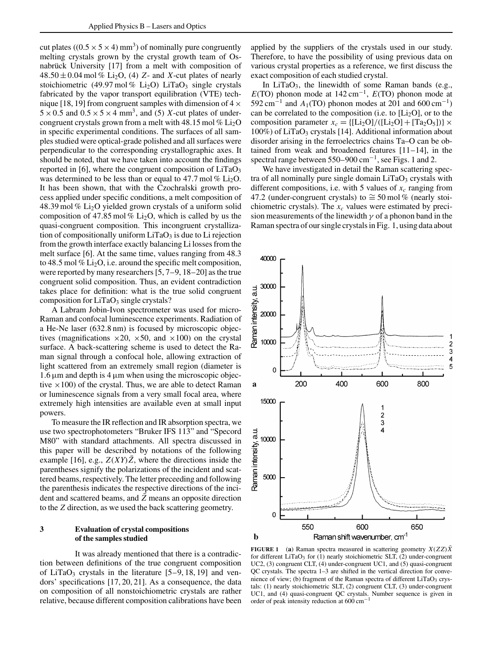cut plates  $((0.5 \times 5 \times 4)$  mm<sup>3</sup>) of nominally pure congruently melting crystals grown by the crystal growth team of Osnabrück University [17] from a melt with composition of  $48.50 \pm 0.04$  mol % Li<sub>2</sub>O, (4) *Z*- and *X*-cut plates of nearly stoichiometric (49.97 mol % Li<sub>2</sub>O) LiTaO<sub>3</sub> single crystals fabricated by the vapor transport equilibration (VTE) technique [18, 19] from congruent samples with dimension of  $4 \times$  $5 \times 0.5$  and  $0.5 \times 5 \times 4$  mm<sup>3</sup>, and (5) *X*-cut plates of undercongruent crystals grown from a melt with 48.15 mol  $\%$  Li<sub>2</sub>O in specific experimental conditions. The surfaces of all samples studied were optical-grade polished and all surfaces were perpendicular to the corresponding crystallographic axes. It should be noted, that we have taken into account the findings reported in  $[6]$ , where the congruent composition of  $LiTaO<sub>3</sub>$ was determined to be less than or equal to 47.7 mol  $\%$  Li<sub>2</sub>O. It has been shown, that with the Czochralski growth process applied under specific conditions, a melt composition of 48.39 mol % Li2O yielded grown crystals of a uniform solid composition of 47.85 mol %  $Li<sub>2</sub>O$ , which is called by us the quasi-congruent composition. This incongruent crystallization of compositionally uniform  $LiTaO<sub>3</sub>$  is due to Li rejection from the growth interface exactly balancing Li losses from the melt surface [6]. At the same time, values ranging from 48.3 to 48.5 mol %  $Li<sub>2</sub>O$ , i.e. around the specific melt composition, were reported by many researchers [5, 7–9, 18–20] as the true congruent solid composition. Thus, an evident contradiction takes place for definition: what is the true solid congruent composition for  $LiTaO<sub>3</sub>$  single crystals?

A Labram Jobin-Ivon spectrometer was used for micro-Raman and confocal luminescence experiments. Radiation of a He-Ne laser (632.8 nm) is focused by microscopic objectives (magnifications  $\times 20$ ,  $\times 50$ , and  $\times 100$ ) on the crystal surface. A back-scattering scheme is used to detect the Raman signal through a confocal hole, allowing extraction of light scattered from an extremely small region (diameter is  $1.6 \mu m$  and depth is 4  $\mu m$  when using the microscopic objective  $\times$ 100) of the crystal. Thus, we are able to detect Raman or luminescence signals from a very small focal area, where extremely high intensities are available even at small input powers.

To measure the IR reflection and IR absorption spectra, we use two spectrophotometers "Bruker IFS 113" and "Specord M80" with standard attachments. All spectra discussed in this paper will be described by notations of the following example [16], e.g.,  $Z(XY)Z$ , where the directions inside the parentheses signify the polarizations of the incident and scattered beams, respectively. The letter preceeding and following the parenthesis indicates the respective directions of the incident and scattered beams, and  $\overline{Z}$  means an opposite direction to the *Z* direction, as we used the back scattering geometry.

### **3 Evaluation of crystal compositions of the samples studied**

It was already mentioned that there is a contradiction between definitions of the true congruent composition of LiTaO<sub>3</sub> crystals in the literature  $[5-9, 18, 19]$  and vendors' specifications [17, 20, 21]. As a consequence, the data on composition of all nonstoichiometric crystals are rather relative, because different composition calibrations have been applied by the suppliers of the crystals used in our study. Therefore, to have the possibility of using previous data on various crystal properties as a reference, we first discuss the exact composition of each studied crystal.

In LiTaO<sub>3</sub>, the linewidth of some Raman bands (e.g.,  $E(TO)$  phonon mode at 142 cm<sup>-1</sup>,  $E(TO)$  phonon mode at  $592 \text{ cm}^{-1}$  and  $A_1(\text{TO})$  phonon modes at 201 and 600 cm<sup>-1</sup>) can be correlated to the composition (i.e. to  $[L_2O]$ , or to the composition parameter  $x_c = \frac{[[\text{Li}_2\text{O}]/([\text{Li}_2\text{O}]+[\text{Ta}_2\text{O}_5])]}{[[\text{Li}_2\text{O}]+[\text{Ta}_2\text{O}_5])}$  $100\%$ ) of LiTaO<sub>3</sub> crystals [14]. Additional information about disorder arising in the ferroelectrics chains Ta–O can be obtained from weak and broadened features [11–14], in the spectral range between  $550-900$  cm<sup>-1</sup>, see Figs. 1 and 2.

We have investigated in detail the Raman scattering spectra of all nominally pure single domain  $LiTaO<sub>3</sub>$  crystals with different compositions, i.e. with 5 values of  $x_c$  ranging from 47.2 (under-congruent crystals) to  $\approx$  50 mol % (nearly stoichiometric crystals). The  $x_c$  values were estimated by precision measurements of the linewidth  $\gamma$  of a phonon band in the Raman spectra of our single crystals in Fig. 1, using data about



**FIGURE 1** (a) Raman spectra measured in scattering geometry  $X(ZZ)X$ for different LiTaO<sub>3</sub> for  $(1)$  nearly stoichiometric SLT,  $(2)$  under-congruent UC2, (3) congruent CLT, (4) under-congruent UC1, and (5) quasi-congruent QC crystals. The spectra 1–3 are shifted in the vertical direction for convenience of view; (b) fragment of the Raman spectra of different  $LiTaO<sub>3</sub>$  crystals: (1) nearly stoichiometric SLT, (2) congruent CLT, (3) under-congruent UC1, and (4) quasi-congruent QC crystals. Number sequence is given in order of peak intensity reduction at 600 cm−<sup>1</sup>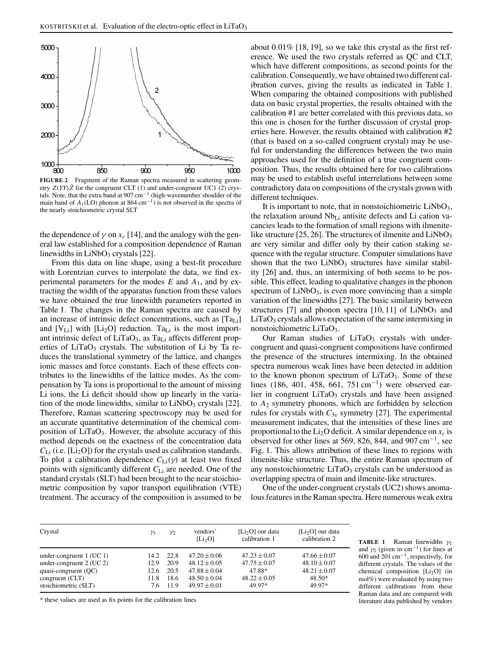

**FIGURE 2** Fragment of the Raman spectra measured in scattering geometry  $Z(YY)\bar{Z}$  for the congruent CLT (1) and under-congruent UC1 (2) crystals. Note, that the extra band at  $907 \text{ cm}^{-1}$  (high-wavenumber shoulder of the main band of  $A_1(LO)$  phonon at 864 cm<sup>-1</sup>) is not observed in the spectra of the nearly stoichiometric crystal SLT

the dependence of  $\gamma$  on  $x_c$  [14], and the analogy with the general law established for a composition dependence of Raman linewidths in  $LiNbO<sub>3</sub>$  crystals [22].

From this data on line shape, using a best-fit procedure with Lorentzian curves to interpolate the data, we find experimental parameters for the modes *E* and *A*1, and by extracting the width of the apparatus function from these values we have obtained the true linewidth parameters reported in Table 1. The changes in the Raman spectra are caused by an increase of intrinsic defect concentrations, such as  $[Ta_{Li}]$ and  $[V_{Li}]$  with  $[Li_2O]$  reduction. Ta<sub>Li</sub> is the most important intrinsic defect of  $LiTaO<sub>3</sub>$ , as  $Ta<sub>Li</sub>$  affects different properties of  $LiTaO<sub>3</sub>$  crystals. The substitution of Li by Ta reduces the translational symmetry of the lattice, and changes ionic masses and force constants. Each of these effects contributes to the linewidths of the lattice modes. As the compensation by Ta ions is proportional to the amount of missing Li ions, the Li deficit should show up linearly in the variation of the mode linewidths, similar to  $LiNbO<sub>3</sub>$  crystals [22]. Therefore, Raman scattering spectroscopy may be used for an accurate quantitative determination of the chemical composition of  $LiTaO<sub>3</sub>$ . However, the absolute accuracy of this method depends on the exactness of the concentration data  $C_{Li}$  (i.e. [Li<sub>2</sub>O]) for the crystals used as calibration standards. To plot a calibration dependence  $C_{\text{Li}}(\gamma)$  at least two fixed points with significantly different *C*Li are needed. One of the standard crystals (SLT) had been brought to the near stoichiometric composition by vapor transport equilibration (VTE) treatment. The accuracy of the composition is assumed to be

about 0.01% [18, 19], so we take this crystal as the first reference. We used the two crystals referred as QC and CLT, which have different compositions, as second points for the calibration. Consequently, we have obtained two different calibration curves, giving the results as indicated in Table 1. When comparing the obtained compositions with published data on basic crystal properties, the results obtained with the calibration #1 are better correlated with this previous data, so this one is chosen for the further discussion of crystal properties here. However, the results obtained with calibration #2 (that is based on a so-called congruent crystal) may be useful for understanding the differences between the two main approaches used for the definition of a true congruent composition. Thus, the results obtained here for two calibrations may be used to establish useful interrelations between some contradictory data on compositions of the crystals grown with different techniques.

It is important to note, that in nonstoichiometric  $LiNbO<sub>3</sub>$ , the relaxation around NbLi antisite defects and Li cation vacancies leads to the formation of small regions with ilmenitelike structure [25, 26]. The structures of ilmenite and  $LiNbO<sub>3</sub>$ are very similar and differ only by their cation staking sequence with the regular structure. Computer simulations have shown that the two  $LiNbO<sub>3</sub>$  structures have similar stability [26] and, thus, an intermixing of both seems to be possible. This effect, leading to qualitative changes in the phonon spectrum of  $LiNbO<sub>3</sub>$ , is even more convincing than a simple variation of the linewidths [27]. The basic similarity between structures [7] and phonon spectra  $[10, 11]$  of LiNbO<sub>3</sub> and  $LiTaO<sub>3</sub>$  crystals allows expectation of the same intermixing in nonstoichiometric LiTaO3.

Our Raman studies of  $LiTaO<sub>3</sub>$  crystals with undercongruent and quasi-congruent compositions have confirmed the presence of the structures intermixing. In the obtained spectra numerous weak lines have been detected in addition to the known phonon spectrum of  $LiTaO<sub>3</sub>$ . Some of these lines (186, 401, 458, 661, 751 cm<sup>−</sup>1) were observed earlier in congruent LiTaO<sub>3</sub> crystals and have been assigned to *A*<sup>2</sup> symmetry phonons, which are forbidden by selection rules for crystals with  $C_{3v}$  symmetry [27]. The experimental measurement indicates, that the intensities of these lines are proportional to the  $Li<sub>2</sub>O$  deficit. A similar dependence on  $x_c$  is observed for other lines at 569, 826, 844, and 907 cm<sup>-1</sup>, see Fig. 1. This allows attribution of these lines to regions with ilmenite-like structure. Thus, the entire Raman spectrum of any nonstoichiometric  $LiTaO<sub>3</sub>$  crystals can be understood as overlapping spectra of main and ilmenite-like structures.

One of the under-congruent crystals (UC2) shows anomalous features in the Raman spectra. Here numerous weak extra

| Crystal                    | $\gamma_1$ | $\mathcal{V}2$ | vendors'<br>[L <sub>2</sub> O] | $[Li, O]$ our data<br>calibration 1 | [ $Li2O$ ] our data<br>calibration 2 |
|----------------------------|------------|----------------|--------------------------------|-------------------------------------|--------------------------------------|
| under-congruent $1$ (UC 1) | 14.2       | 22.8           | $47.20 \pm 0.06$               | $47.23 \pm 0.07$                    | $47.66 \pm 0.07$                     |
| under-congruent $2$ (UC 2) | 12.9       | 20.9           | $48.12 \pm 0.05$               | $47.75 \pm 0.07$                    | $48.10 \pm 0.07$                     |
| quasi-congruent $(QC)$     | 12.6       | 20.5           | $47.88 \pm 0.04$               | 47.88*                              | $48.21 \pm 0.07$                     |
| congruent (CLT)            | 11.8       | 18.6           | $48.50 \pm 0.04$               | $48.22 \pm 0.05$                    | 48.50*                               |
| stoichiometric (SLT)       | 7.6        | 11.9           | $49.97 \pm 0.01$               | 49.97*                              | 49.97*                               |

\* these values are used as fix points for the calibration lines

**TABLE 1** Raman linewidths  $\gamma_1$ and  $\gamma_2$  (given in cm<sup>-1</sup>) for lines at 600 and 201 cm<sup>−</sup>1, respectively, for different crystals. The values of the chemical composition  $[Li_2O]$  (in mol%) were evaluated by using two different calibrations from these Raman data and are compared with literature data published by vendors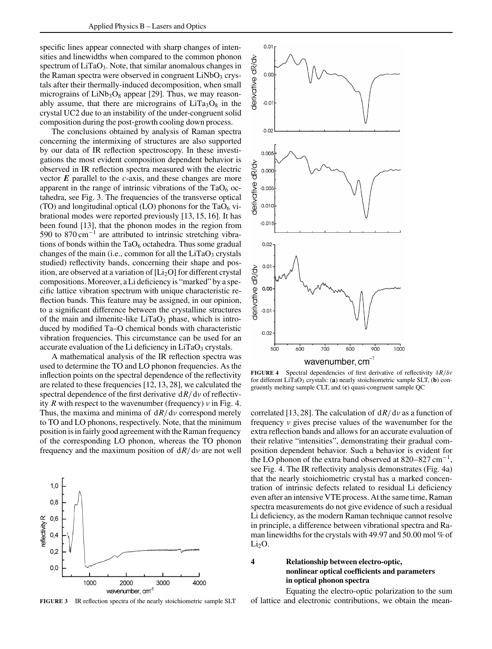specific lines appear connected with sharp changes of intensities and linewidths when compared to the common phonon spectrum of LiTaO<sub>3</sub>. Note, that similar anomalous changes in the Raman spectra were observed in congruent  $LiNbO<sub>3</sub>$  crystals after their thermally-induced decomposition, when small micrograins of  $LiNb<sub>3</sub>O<sub>8</sub>$  appear [29]. Thus, we may reasonably assume, that there are micrograins of  $LiTa<sub>3</sub>O<sub>8</sub>$  in the crystal UC2 due to an instability of the under-congruent solid composition during the post-growth cooling down process.

The conclusions obtained by analysis of Raman spectra concerning the intermixing of structures are also supported by our data of IR reflection spectroscopy. In these investigations the most evident composition dependent behavior is observed in IR reflection spectra measured with the electric vector *E* parallel to the *c*-axis, and these changes are more apparent in the range of intrinsic vibrations of the  $TaO<sub>6</sub>$  octahedra, see Fig. 3. The frequencies of the transverse optical (TO) and longitudinal optical (LO) phonons for the  $TaO_6$  vibrational modes were reported previously [13, 15, 16]. It has been found [13], that the phonon modes in the region from 590 to 870 cm−<sup>1</sup> are attributed to intrinsic stretching vibrations of bonds within the  $TaO<sub>6</sub>$  octahedra. Thus some gradual changes of the main (i.e., common for all the  $LiTaO<sub>3</sub>$  crystals studied) reflectivity bands, concerning their shape and position, are observed at a variation of  $[L_i_2O]$  for different crystal compositions. Moreover, a Li deficiency is "marked" by a specific lattice vibration spectrum with unique characteristic reflection bands. This feature may be assigned, in our opinion, to a significant difference between the crystalline structures of the main and ilmenite-like  $LiTaO<sub>3</sub>$  phase, which is introduced by modified Ta–O chemical bonds with characteristic vibration frequencies. This circumstance can be used for an accurate evaluation of the Li deficiency in  $LiTaO<sub>3</sub>$  crystals.

A mathematical analysis of the IR reflection spectra was used to determine the TO and LO phonon frequencies. As the inflection points on the spectral dependence of the reflectivity are related to these frequencies [12, 13, 28], we calculated the spectral dependence of the first derivative d*R*/dν of reflectivity *R* with respect to the wavenumber (frequency) ν in Fig. 4. Thus, the maxima and minima of d*R*/dν correspond merely to TO and LO phonons, respectively. Note, that the minimum position is in fairly good agreement with the Raman frequency of the corresponding LO phonon, whereas the TO phonon frequency and the maximum position of d*R*/dν are not well



**FIGURE 3** IR reflection spectra of the nearly stoichiometric sample SLT



**FIGURE 4** Spectral dependencies of first derivative of reflectivity δ*R*/δν for different LiTaO<sub>3</sub> crystals: (a) nearly stoichiometric sample SLT, (b) congruently melting sample CLT, and (**c**) quasi-congruent sample QC

correlated [13, 28]. The calculation of d*R*/dν as a function of frequency ν gives precise values of the wavenumber for the extra reflection bands and allows for an accurate evaluation of their relative "intensities", demonstrating their gradual composition dependent behavior. Such a behavior is evident for the LO phonon of the extra band observed at  $820-827$  cm<sup>-1</sup>, see Fig. 4. The IR reflectivity analysis demonstrates (Fig. 4a) that the nearly stoichiometric crystal has a marked concentration of intrinsic defects related to residual Li deficiency even after an intensive VTE process. At the same time, Raman spectra measurements do not give evidence of such a residual Li deficiency, as the modern Raman technique cannot resolve in principle, a difference between vibrational spectra and Raman linewidths for the crystals with 49.97 and 50.00 mol % of  $Li<sub>2</sub>O$ .

## **4 Relationship between electro-optic, nonlinear optical coefficients and parameters in optical phonon spectra**

Equating the electro-optic polarization to the sum of lattice and electronic contributions, we obtain the mean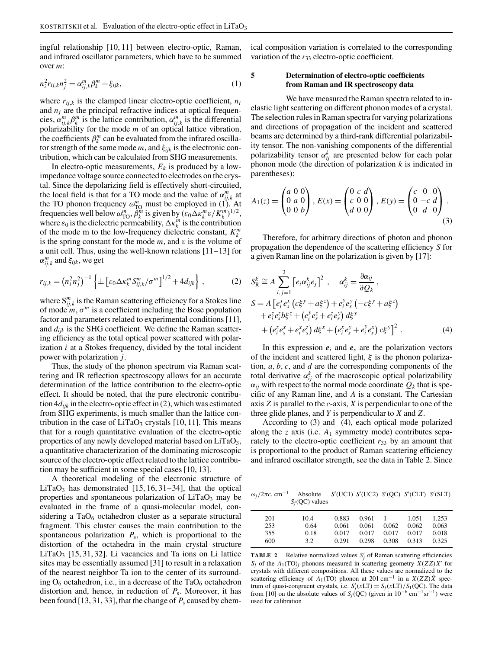ingful relationship [10, 11] between electro-optic, Raman, and infrared oscillator parameters, which have to be summed over *m*:

$$
n_i^2 r_{ij,k} n_j^2 = \alpha_{ij,k}^m \beta_k^m + \xi_{ijk},
$$
\n(1)

where  $r_{i,j,k}$  is the clamped linear electro-optic coefficient,  $n_i$ and  $n_i$  are the principal refractive indices at optical frequencies,  $\alpha_{ij,k}^m \beta_k^m$  is the lattice contribution,  $\alpha_{ij,k}^m$  is the differential polarizability for the mode *m* of an optical lattice vibration, the coefficients  $\beta_k^m$  can be evaluated from the infrared oscillator strength of the same mode *m*, and ξ*ijk* is the electronic contribution, which can be calculated from SHG measurements.

In electro-optic measurements,  $E_k$  is produced by a lowimpedance voltage source connected to electrodes on the crystal. Since the depolarizing field is effectively short-circuited, the local field is that for a TO mode and the value of  $\alpha_{ij,k}^m$  at the TO phonon frequency  $\omega_{\text{TO}}^m$  must be employed in (1). At frequencies well below  $\omega_{\text{TO}}^m$ ,  $\ddot{\theta}_k^m$  is given by  $(\varepsilon_0 \Delta \kappa_k^m v/K_k^m)^{1/2}$ , where  $\varepsilon_0$  is the dielectric permeability,  $\Delta \kappa_k^m$  is the contribution of the mode m to the low-frequency dielectric constant, *K<sup>m</sup> k* is the spring constant for the mode *m*, and v is the volume of a unit cell. Thus, using the well-known relations [11–13] for  $\alpha^m_{ij,k}$  and  $\xi_{ijk}$ , we get

$$
r_{ij,k} = (n_i^2 n_j^2)^{-1} \left\{ \pm \left[ \varepsilon_0 \Delta \kappa_k^m S_{ij,k}^m / \sigma^m \right]^{1/2} + 4 d_{ijk} \right\},\tag{2}
$$

where  $S_{ij,k}^m$  is the Raman scattering efficiency for a Stokes line of mode  $m, \sigma^m$  is a coefficient including the Bose population factor and parameters related to experimental conditions [11], and *dijk* is the SHG coefficient. We define the Raman scattering efficiency as the total optical power scattered with polarization *i* at a Stokes frequency, divided by the total incident power with polarization *j*.

Thus, the study of the phonon spectrum via Raman scattering and IR reflection spectroscopy allows for an accurate determination of the lattice contribution to the electro-optic effect. It should be noted, that the pure electronic contribution  $4d_{ijk}$  in the electro-optic effect in (2), which was estimated from SHG experiments, is much smaller than the lattice contribution in the case of  $LiTaO<sub>3</sub>$  crystals [10, 11]. This means that for a rough quantitative evaluation of the electro-optic properties of any newly developed material based on LiTaO<sub>3</sub>, a quantitative characterization of the dominating microscopic source of the electro-optic effect related to the lattice contribution may be sufficient in some special cases [10, 13].

A theoretical modeling of the electronic structure of LiTaO<sub>3</sub> has demonstrated [15, 16, 31–34], that the optical properties and spontaneous polarization of  $LiTaO<sub>3</sub>$  may be evaluated in the frame of a quasi-molecular model, considering a  $TaO_6$  octahedron cluster as a separate structural fragment. This cluster causes the main contribution to the spontaneous polarization *P*s, which is proportional to the distortion of the octahedra in the main crystal structure  $LiTaO<sub>3</sub>$  [15, 31, 32]. Li vacancies and Ta ions on Li lattice sites may be essentially assumed [31] to result in a relaxation of the nearest neighbor Ta ion to the center of its surrounding  $O_6$  octahedron, i.e., in a decrease of the Ta $O_6$  octahedron distortion and, hence, in reduction of *P*s. Moreover, it has been found [13, 31, 33], that the change of  $P_s$  caused by chemical composition variation is correlated to the corresponding variation of the  $r_{33}$  electro-optic coefficient.

## **5 Determination of electro-optic coefficients from Raman and IR spectroscopy data**

We have measured the Raman spectra related to inelastic light scattering on different phonon modes of a crystal. The selection rules in Raman spectra for varying polarizations and directions of propagation of the incident and scattered beams are determined by a third-rank differential polarizability tensor. The non-vanishing components of the differential polarizability tensor  $\alpha_{ij}^k$  are presented below for each polar phonon mode (the direction of polarization *k* is indicated in parentheses):

$$
A_1(z) = \begin{pmatrix} a & 0 & 0 \\ 0 & a & 0 \\ 0 & 0 & b \end{pmatrix}, E(x) = \begin{pmatrix} 0 & c & d \\ c & 0 & 0 \\ d & 0 & 0 \end{pmatrix}, E(y) = \begin{pmatrix} c & 0 & 0 \\ 0 & -c & d \\ 0 & d & 0 \end{pmatrix}.
$$
\n(3)

Therefore, for arbitrary directions of photon and phonon propagation the dependence of the scattering efficiency *S* for a given Raman line on the polarization is given by [17]:

$$
S_{\rm R}^{k} \cong A \sum_{i,j=1}^{3} \left[ e_{i} \alpha_{ij}^{k} e_{j} \right]^{2}, \quad \alpha_{ij}^{k} = \frac{\partial \alpha_{ij}}{\partial Q_{k}},
$$
\n
$$
S = A \left[ e_{i}^{x} e_{s}^{x} \left( c_{s}^{x} + a_{s}^{x} \right) + e_{i}^{y} e_{s}^{y} \left( -c_{s}^{x} + a_{s}^{x} \right) + e_{i}^{z} e_{s}^{y} b_{s}^{x} + \left( e_{i}^{y} e_{s}^{x} + e_{i}^{z} e_{s}^{y} \right) d_{s}^{x} + \left( e_{i}^{x} e_{s}^{x} + e_{i}^{x} e_{s}^{y} \right) d_{s}^{x} + \left( e_{i}^{x} e_{s}^{y} + e_{i}^{y} e_{s}^{y} \right) c_{s}^{x} \right)^{2}.
$$
\n(4)

In this expression  $e_i$  and  $e_s$  are the polarization vectors of the incident and scattered light,  $\xi$  is the phonon polarization, *a*, *b*, *c*, and *d* are the corresponding components of the total derivative  $\alpha_{ij}^k$  of the macroscopic optical polarizability  $\alpha_{ij}$  with respect to the normal mode coordinate  $Q_k$  that is specific of any Raman line, and *A* is a constant. The Cartesian axis *Z* is parallel to the *c*-axis, *X* is perpendicular to one of the three glide planes, and *Y* is perpendicular to *X* and *Z*.

According to (3) and (4), each optical mode polarized along the *z* axis (i.e. *A*<sup>1</sup> symmetry mode) contributes separately to the electro-optic coefficient  $r_{33}$  by an amount that is proportional to the product of Raman scattering efficiency and infrared oscillator strength, see the data in Table 2. Since

| $\omega_j/2\pi c$ , cm <sup>-1</sup> | Absolute<br>$S_i$ (QC) values |       | $S'(UC1)$ $S'(UC2)$ $S'(QC)$ $S'(CLT)$ $S'(SLT)$ |       |       |       |
|--------------------------------------|-------------------------------|-------|--------------------------------------------------|-------|-------|-------|
| 201                                  | 10.4                          | 0.883 | 0.961                                            |       | 1.051 | 1.253 |
| 253                                  | 0.64                          | 0.061 | 0.061                                            | 0.062 | 0.062 | 0.063 |
| 355                                  | 0.18                          | 0.017 | 0.017                                            | 0.017 | 0.017 | 0.018 |
| 600                                  | 3.2                           | 0.291 | 0.298                                            | 0.308 | 0.313 | 0.325 |
|                                      |                               |       |                                                  |       |       |       |

**TABLE 2** Relative normalized values  $S'_j$  of Raman scattering efficiencies *S<sub>j</sub>* of the  $A_1(\text{TO})_j$  phonons measured in scattering geometry  $X(ZZ)X'$  for crystals with different compositions. All these values are normalized to the scattering efficiency of  $A_1(TO)$  phonon at 201 cm<sup>-1</sup> in a  $X(ZZ)\overline{X}$  spectrum of quasi-congruent crystals, i.e.  $S'_j(xLT) = S_j(xLT)/S_1(QC)$ . The data from [10] on the absolute values of *S<sub>j</sub>*(QC) (given in  $10^{-6}$  cm<sup>-1</sup>sr<sup>-1</sup>) were used for calibration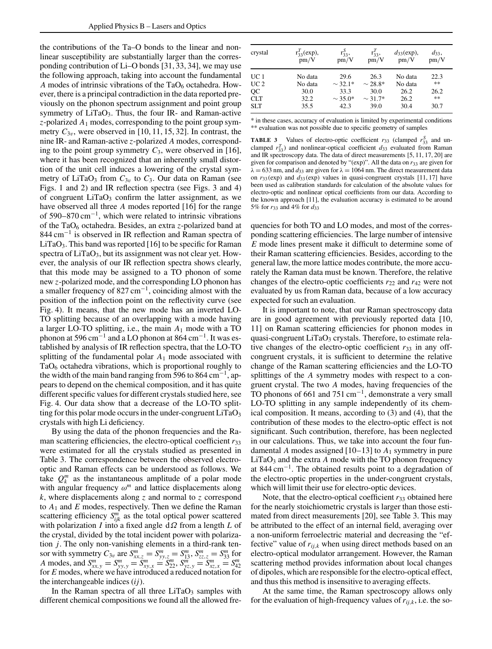the contributions of the Ta–O bonds to the linear and nonlinear susceptibility are substantially larger than the corresponding contribution of Li–O bonds [31, 33, 34], we may use the following approach, taking into account the fundamental *A* modes of intrinsic vibrations of the  $TaO_6$  octahedra. However, there is a principal contradiction in the data reported previously on the phonon spectrum assignment and point group symmetry of  $LiTaO<sub>3</sub>$ . Thus, the four IR- and Raman-active *z*-polarized *A*<sup>1</sup> modes, corresponding to the point group symmetry  $C_{3v}$ , were observed in [10, 11, 15, 32]. In contrast, the nine IR- and Raman-active *z*-polarized *A* modes, corresponding to the point group symmetry  $C_3$ , were observed in [16], where it has been recognized that an inherently small distortion of the unit cell induces a lowering of the crystal symmetry of LiTaO<sub>3</sub> from  $C_{3v}$  to  $C_3$ . Our data on Raman (see Figs. 1 and 2) and IR reflection spectra (see Figs. 3 and 4) of congruent  $LiTaO<sub>3</sub>$  confirm the latter assignment, as we have observed all three *A* modes reported [16] for the range of 590–870 cm<sup>−</sup>1, which were related to intrinsic vibrations of the TaO<sub>6</sub> octahedra. Besides, an extra *z*-polarized band at 844 cm−<sup>1</sup> is observed in IR reflection and Raman spectra of  $LiTaO<sub>3</sub>$ . This band was reported [16] to be specific for Raman spectra of LiTaO<sub>3</sub>, but its assignment was not clear yet. However, the analysis of our IR reflection spectra shows clearly, that this mode may be assigned to a TO phonon of some new *z*-polarized mode, and the corresponding LO phonon has a smaller frequency of  $827 \text{ cm}^{-1}$ , coinciding almost with the position of the inflection point on the reflectivity curve (see Fig. 4). It means, that the new mode has an inverted LO-TO splitting because of an overlapping with a mode having a larger LO-TO splitting, i.e., the main *A*<sup>1</sup> mode with a TO phonon at 596 cm<sup>-1</sup> and a LO phonon at 864 cm<sup>-1</sup>. It was established by analysis of IR reflection spectra, that the LO-TO splitting of the fundamental polar *A*<sup>1</sup> mode associated with TaO<sub>6</sub> octahedra vibrations, which is proportional roughly to the width of the main band ranging from 596 to 864 cm<sup>-1</sup>, appears to depend on the chemical composition, and it has quite different specific values for different crystals studied here, see Fig. 4. Our data show that a decrease of the LO-TO splitting for this polar mode occurs in the under-congruent  $LiTaO<sub>3</sub>$ crystals with high Li deficiency.

By using the data of the phonon frequencies and the Raman scattering efficiencies, the electro-optical coefficient  $r_{33}$ were estimated for all the crystals studied as presented in Table 3. The correspondence between the observed electrooptic and Raman effects can be understood as follows. We take  $Q_k^m$  as the instantaneous amplitude of a polar mode with angular frequency  $\omega^m$  and lattice displacements along *k*, where displacements along *z* and normal to *z* correspond to *A*<sup>1</sup> and *E* modes, respectively. Then we define the Raman scattering efficiency  $S_{ijk}^m$  as the total optical power scattered with polarization *I* into a fixed angle dΩ from a length *L* of the crystal, divided by the total incident power with polarization *j*. The only non-vanishing elements in a third-rank tensor with symmetry  $C_{3v}$  are  $S_{xx,z}^m = S_{yy,z}^m = S_{13}^m$ ,  $S_{zz,z}^m = S_{33}^m$  for A modes, and  $S_{xx,y}^m = S_{yy,y}^m = \widetilde{S}_{xy,x}^m = \widetilde{S}_{22}^m$ ,  $S_{yz,y}^m = \widetilde{S}_{xz,x}^m = S_{42}^m$ <br>for E modes, where we have introduced a reduced notation for the interchangeable indices (*ij*).

In the Raman spectra of all three  $LiTaO<sub>3</sub>$  samples with different chemical compositions we found all the allowed fre-

| crystal         | $r_{33}^{I}$ (exp),<br>pm/V | $r_{33}^S$<br>pm/V | $r_{33}^T$<br>pm/V | $d_{33}$ (exp),<br>pm/V | $d_{33}$ ,<br>pm/V |
|-----------------|-----------------------------|--------------------|--------------------|-------------------------|--------------------|
| UC 1            | No data                     | 29.6               | 26.3               | No data                 | 22.3               |
| UC <sub>2</sub> | No data                     | $\sim$ 32.1*       | $\sim$ 28.8*       | No data                 | **                 |
| QC              | 30.0                        | 33.3               | 30.0               | 26.2                    | 26.2               |
| <b>CLT</b>      | 32.2                        | $\sim$ 35.0*       | $\sim$ 31.7*       | 26.2                    | **                 |
| <b>SLT</b>      | 35.5                        | 42.3               | 39.0               | 30.4                    | 30.7               |

\* in these cases, accuracy of evaluation is limited by experimental conditions \*\* evaluation was not possible due to specific geometry of samples

**TABLE 3** Values of electro-optic coefficient  $r_{33}$  (clamped  $r_{33}^S$  and unclamped  $r_{33}^T$ ) and nonlinear-optical coefficient  $d_{33}$  evaluated from Raman and IR spectroscopy data. The data of direct measurements [5, 11, 17, 20] are given for comparison and denoted by "(exp)". All the data on *r*<sup>33</sup> are given for  $= 633$  nm, and  $d_{33}$  are given for  $\lambda = 1064$  nm. The direct measurement data on  $r_{33}$ (exp) and  $d_{33}$ (exp) values in quasi-congruent crystals [11, 17] have been used as calibration standards for calculation of the absolute values for electro-optic and nonlinear optical coefficients from our data. According to the known approach [11], the evaluation accuracy is estimated to be around 5% for *r*<sup>33</sup> and 4% for *d*<sup>33</sup>

quencies for both TO and LO modes, and most of the corresponding scattering efficiencies. The large number of intensive *E* mode lines present make it difficult to determine some of their Raman scattering efficiencies. Besides, according to the general law, the more lattice modes contribute, the more accurately the Raman data must be known. Therefore, the relative changes of the electro-optic coefficients *r*<sup>22</sup> and *r*<sup>42</sup> were not evaluated by us from Raman data, because of a low accuracy expected for such an evaluation.

It is important to note, that our Raman spectroscopy data are in good agreement with previously reported data [10, 11] on Raman scattering efficiencies for phonon modes in quasi-congruent  $LiTaO<sub>3</sub>$  crystals. Therefore, to estimate relative changes of the electro-optic coefficient  $r_{33}$  in any offcongruent crystals, it is sufficient to determine the relative change of the Raman scattering efficiencies and the LO-TO splittings of the *A* symmetry modes with respect to a congruent crystal. The two *A* modes, having frequencies of the TO phonons of 661 and 751 cm<sup>−</sup>1, demonstrate a very small LO-TO splitting in any sample independently of its chemical composition. It means, according to (3) and (4), that the contribution of these modes to the electro-optic effect is not significant. Such contribution, therefore, has been neglected in our calculations. Thus, we take into account the four fundamental *A* modes assigned  $[10-13]$  to  $A_1$  symmetry in pure  $LiTaO<sub>3</sub>$  and the extra *A* mode with the TO phonon frequency at 844 cm<sup>−</sup>1. The obtained results point to a degradation of the electro-optic properties in the under-congruent crystals, which will limit their use for electro-optic devices.

Note, that the electro-optical coefficient  $r_{33}$  obtained here for the nearly stoichiometric crystals is larger than those estimated from direct measurements [20], see Table 3. This may be attributed to the effect of an internal field, averaging over a non-uniform ferroelectric material and decreasing the "effective" value of  $r_{i,j,k}$  when using direct methods based on an electro-optical modulator arrangement. However, the Raman scattering method provides information about local changes of dipoles, which are responsible for the electro-optical effect, and thus this method is insensitive to averaging effects.

At the same time, the Raman spectroscopy allows only for the evaluation of high-frequency values of  $r_{ij,k}$ , i.e. the so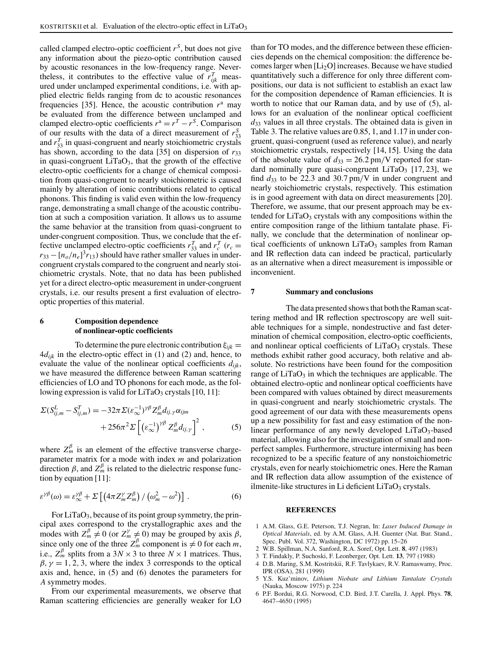called clamped electro-optic coefficient  $r^S$ , but does not give any information about the piezo-optic contribution caused by acoustic resonances in the low-frequency range. Nevertheless, it contributes to the effective value of  $r_{ijk}^T$  measured under unclamped experimental conditions, i.e. with applied electric fields ranging from dc to acoustic resonances frequencies [35]. Hence, the acoustic contribution  $r<sup>a</sup>$  may be evaluated from the difference between unclamped and clamped electro-optic coefficients  $r^a = r^T - r^S$ . Comparison of our results with the data of a direct measurement of  $r_{33}^S$ and  $r_{33}^T$  in quasi-congruent and nearly stoichiometric crystals has shown, according to the data [35] on dispersion of  $r_{33}$ in quasi-congruent  $LiTaO<sub>3</sub>$ , that the growth of the effective electro-optic coefficients for a change of chemical composition from quasi-congruent to nearly stoichiometric is caused mainly by alteration of ionic contributions related to optical phonons. This finding is valid even within the low-frequency range, demonstrating a small change of the acoustic contribution at such a composition variation. It allows us to assume the same behavior at the transition from quasi-congruent to under-congruent composition. Thus, we conclude that the effective unclamped electro-optic coefficients  $r_{33}^T$  and  $r_c^T$  ( $r_c$  =  $r_{33} - [n_o/n_e]^3 r_{13}$ ) should have rather smaller values in undercongruent crystals compared to the congruent and nearly stoichiometric crystals. Note, that no data has been published yet for a direct electro-optic measurement in under-congruent crystals, i.e. our results present a first evaluation of electrooptic properties of this material.

## **6 Composition dependence of nonlinear-optic coefficients**

To determine the pure electronic contribution  $\xi_{ijk}$  =  $4d_{ijk}$  in the electro-optic effect in (1) and (2) and, hence, to evaluate the value of the nonlinear optical coefficients *dijk*, we have measured the difference between Raman scattering efficiencies of LO and TO phonons for each mode, as the following expression is valid for  $LiTaO<sub>3</sub>$  crystals [10, 11]:

$$
\Sigma(S_{ij,m}^L - S_{ij,m}^T) = -32\pi \Sigma(\varepsilon_{\infty}^{-1})^{\gamma\beta} Z_m^{\beta} d_{ij,\gamma} \alpha_{ijm}
$$
  
+256 $\pi^2 \Sigma \left[ \left( \varepsilon_{\infty}^{-1} \right)^{\gamma\beta} Z_m^{\beta} d_{ij,\gamma} \right]^2 ,$  (5)

where  $Z_m^{\beta}$  is an element of the effective transverse chargeparameter matrix for a mode with index *m* and polarization direction  $\beta$ , and  $Z_m^{\beta}$  is related to the dielectric response function by equation [11]:

$$
\varepsilon^{\gamma\beta}(\omega) = \varepsilon^{\gamma\beta}_{\infty} + \Sigma \left[ \left( 4\pi Z_m^{\gamma} Z_m^{\beta} \right) / \left( \omega_m^2 - \omega^2 \right) \right]. \tag{6}
$$

For  $LiTaO<sub>3</sub>$ , because of its point group symmetry, the principal axes correspond to the crystallographic axes and the modes with  $Z_m^{\beta} \neq 0$  (or  $Z_m^{\gamma} \neq 0$ ) may be grouped by axis  $\beta$ , since only one of the three  $Z_m^{\beta}$  component is  $\neq 0$  for each *m*, i.e.,  $Z_m^{\beta}$  splits from a 3*N* × 3 to three *N* × 1 matrices. Thus,  $\beta$ ,  $\gamma = 1, 2, 3$ , where the index 3 corresponds to the optical axis and, hence, in (5) and (6) denotes the parameters for *A* symmetry modes.

From our experimental measurements, we observe that Raman scattering efficiencies are generally weaker for LO

than for TO modes, and the difference between these efficiencies depends on the chemical composition: the difference becomes larger when [Li2O] increases. Because we have studied quantitatively such a difference for only three different compositions, our data is not sufficient to establish an exact law for the composition dependence of Raman efficiencies. It is worth to notice that our Raman data, and by use of (5), allows for an evaluation of the nonlinear optical coefficient *d*<sup>33</sup> values in all three crystals. The obtained data is given in Table 3. The relative values are 0.85, 1, and 1.17 in under congruent, quasi-congruent (used as reference value), and nearly stoichiometric crystals, respectively [14, 15]. Using the data of the absolute value of  $d_{33} = 26.2 \text{ pm/V}$  reported for standard nominally pure quasi-congruent LiTaO<sub>3</sub> [17, 23], we find  $d_{33}$  to be 22.3 and 30.7 pm/V in under congruent and nearly stoichiometric crystals, respectively. This estimation is in good agreement with data on direct measurements [20]. Therefore, we assume, that our present approach may be extended for  $LiTaO<sub>3</sub>$  crystals with any compositions within the entire composition range of the lithium tantalate phase. Finally, we conclude that the determination of nonlinear optical coefficients of unknown  $LiTaO<sub>3</sub>$  samples from Raman and IR reflection data can indeed be practical, particularly as an alternative when a direct measurement is impossible or inconvenient.

#### **7 Summary and conclusions**

The data presented shows that both the Raman scattering method and IR reflection spectroscopy are well suitable techniques for a simple, nondestructive and fast determination of chemical composition, electro-optic coefficients, and nonlinear optical coefficients of  $LiTaO<sub>3</sub>$  crystals. These methods exhibit rather good accuracy, both relative and absolute. No restrictions have been found for the composition range of  $LiTaO<sub>3</sub>$  in which the techniques are applicable. The obtained electro-optic and nonlinear optical coefficients have been compared with values obtained by direct measurements in quasi-congruent and nearly stoichiometric crystals. The good agreement of our data with these measurements opens up a new possibility for fast and easy estimation of the nonlinear performance of any newly developed  $LiTaO<sub>3</sub>$ -based material, allowing also for the investigation of small and nonperfect samples. Furthermore, structure intermixing has been recognized to be a specific feature of any nonstoichiometric crystals, even for nearly stoichiometric ones. Here the Raman and IR reflection data allow assumption of the existence of ilmenite-like structures in Li deficient  $LiTaO<sub>3</sub>$  crystals.

#### **REFERENCES**

- 1 A.M. Glass, G.E. Peterson, T.J. Negran, In: *Laser Induced Damage in Optical Materials*, ed. by A.M. Glass, A.H. Guenter (Nat. Bur. Stand., Spec. Publ. Vol. 372, Washington, DC 1972) pp. 15–26
- 2 W.B. Spillman, N.A. Sanford, R.A. Soref, Opt. Lett. **8**, 497 (1983)
- 3 T. Findakly, P. Suchoski, F. Leonberger, Opt. Lett. **13**, 797 (1988)
- 4 D.B. Maring, S.M. Kostritskii, R.F. Tavlykaev, R.V. Ramaswamy, Proc. IPR (OSA), 281 (1999)
- 5 Y.S. Kuz'minov, *Lithium Niobate and Lithium Tantalate Crystals* (Nauka, Moscow 1975) p. 224
- 6 P.F. Bordui, R.G. Norwood, C.D. Bird, J.T. Carella, J. Appl. Phys. **78**, 4647–4650 (1995)